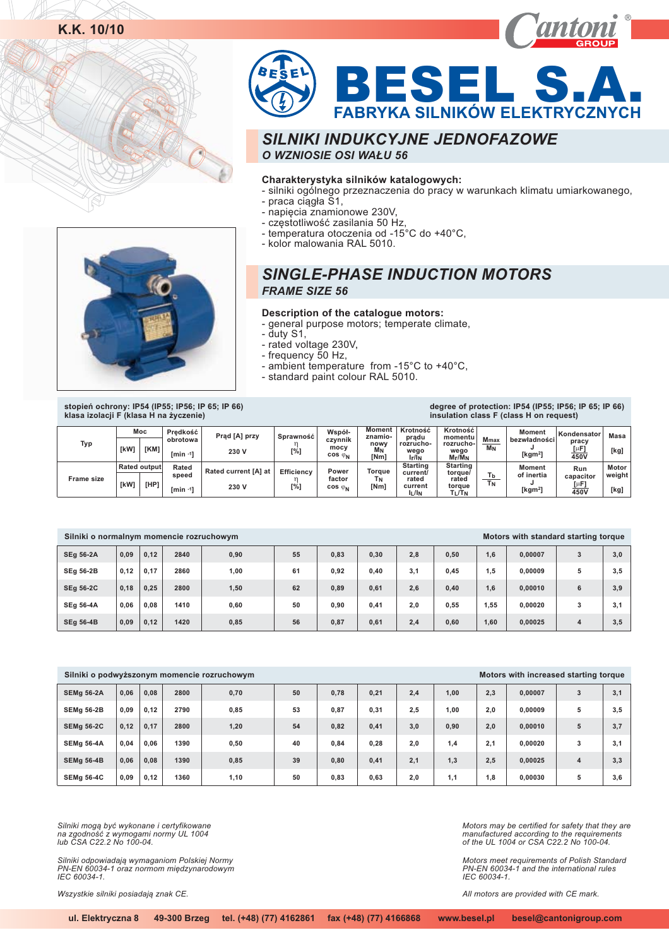



#### **Charakterystyka silników katalogowych:**

- silniki ogólnego przeznaczenia do pracy w warunkach klimatu umiarkowanego,
	- praca ciągła Š1,
	- napięcia znamionowe 230V,
	- częstotliwość zasilania 50 Hz,
- temperatura otoczenia od -15°C do +40°C,
- kolor malowania RAL 5010.



#### **Description of the catalogue motors:**

- general purpose motors; temperate climate,
- duty S1,
- rated voltage 230V ,
- frequency 50 Hz,
- ambient temperature from -15°C to +40°C,
- standard paint colour RAL 5010.

**stopieñ ochrony: IP54 (IP55; IP56; IP 65; IP 66) klasa izolacji F (klasa H na ¿yczenie)**

#### **degree of protection: IP54 (IP55; IP56; IP 65; IP 66) insulation class F (class H on request)**

| Typ               | [kW] | Moc<br>[KM]                 | Predkość<br>obrotowa<br>$[min -17$ | Prąd [A] przy<br>230 V        | Sprawność<br>[%]         | Współ-<br>czvnnik<br>mocy<br>$cos \varphi_N$ | Moment<br>znamio-<br>nowy<br>M <sub>N</sub><br>[Nm] | Krotność<br>prądu<br>rozrucho-<br>wego<br>$I_f/I_N$      | Krotność<br>momentu<br>rozrucho-<br>wego<br>$M_f/M_N$ | <b>Mmax</b><br><b>M<sub>N</sub></b> | <b>Moment</b><br>bezwładności<br>[ $kgm2$ ] | Kondensator<br>pracy<br>$[\mu$ F]<br>450V | Masa<br>[kg]            |
|-------------------|------|-----------------------------|------------------------------------|-------------------------------|--------------------------|----------------------------------------------|-----------------------------------------------------|----------------------------------------------------------|-------------------------------------------------------|-------------------------------------|---------------------------------------------|-------------------------------------------|-------------------------|
| <b>Frame size</b> | [kW] | <b>Rated output</b><br>[HP] | Rated<br>speed<br>$rmin -11$       | Rated current [A] at<br>230 V | <b>Efficiency</b><br>[%] | Power<br>factor<br>$cos \varphi_N$           | Toraue<br>ТΝ<br>[Nm]                                | <b>Starting</b><br>current/<br>rated<br>current<br>ll/In | Starting<br>toraue/<br>rated<br>torque<br>$T_L/T_N$   | T <sub>b</sub><br><b>TN</b>         | <b>Moment</b><br>of inertia<br>[ $kgm2$ ]   | Run<br>capacitor<br>$[\mu$ F]<br>450V     | Motor<br>weight<br>[kg] |

| Silniki o normalnym momencie rozruchowym |      |      |      |      |    |      |      |     |      |      | Motors with standard starting torque |   |     |
|------------------------------------------|------|------|------|------|----|------|------|-----|------|------|--------------------------------------|---|-----|
| <b>SEg 56-2A</b>                         | 0.09 | 0.12 | 2840 | 0,90 | 55 | 0,83 | 0,30 | 2,8 | 0,50 | 1,6  | 0.00007                              | 3 | 3,0 |
| <b>SEg 56-2B</b>                         | 0.12 | 0.17 | 2860 | 1,00 | 61 | 0.92 | 0,40 | 3,1 | 0,45 | 1.5  | 0.00009                              | 5 | 3.5 |
| <b>SEg 56-2C</b>                         | 0.18 | 0.25 | 2800 | 1,50 | 62 | 0.89 | 0,61 | 2,6 | 0,40 | 1,6  | 0.00010                              | 6 | 3.9 |
| <b>SEg 56-4A</b>                         | 0.06 | 0.08 | 1410 | 0,60 | 50 | 0.90 | 0,41 | 2,0 | 0,55 | 1,55 | 0.00020                              | 3 | 3,1 |
| <b>SEg 56-4B</b>                         | 0,09 | 0,12 | 1420 | 0,85 | 56 | 0,87 | 0,61 | 2,4 | 0.60 | 1,60 | 0.00025                              | 4 | 3,5 |

|                   |      |      |      | Silniki o podwyższonym momencie rozruchowym |    |      |      |     |      |     | Motors with increased starting torque |                         |     |
|-------------------|------|------|------|---------------------------------------------|----|------|------|-----|------|-----|---------------------------------------|-------------------------|-----|
| <b>SEMg 56-2A</b> | 0.06 | 0.08 | 2800 | 0,70                                        | 50 | 0,78 | 0,21 | 2,4 | 1,00 | 2,3 | 0.00007                               | 3                       | 3,1 |
| <b>SEMg 56-2B</b> | 0.09 | 0.12 | 2790 | 0,85                                        | 53 | 0,87 | 0,31 | 2,5 | 1,00 | 2.0 | 0.00009                               | 5                       | 3.5 |
| <b>SEMg 56-2C</b> | 0.12 | 0.17 | 2800 | 1,20                                        | 54 | 0.82 | 0,41 | 3,0 | 0,90 | 2.0 | 0.00010                               | 5                       | 3.7 |
| <b>SEMg 56-4A</b> | 0.04 | 0.06 | 1390 | 0,50                                        | 40 | 0,84 | 0,28 | 2.0 | 1,4  | 2.1 | 0.00020                               | 3                       | 3.1 |
| <b>SEMg 56-4B</b> | 0.06 | 0.08 | 1390 | 0,85                                        | 39 | 0.80 | 0,41 | 2,1 | 1,3  | 2.5 | 0.00025                               | $\overline{\mathbf{4}}$ | 3.3 |
| <b>SEMg 56-4C</b> | 0.09 | 0.12 | 1360 | 1.10                                        | 50 | 0.83 | 0.63 | 2.0 | 1.1  | 1,8 | 0.00030                               | 5                       | 3.6 |

Silniki mogą być wykonane i certyfikowane *na zgodnoϾ z wymogami normy UL 1004 lub CSA C22.2 No 100-04.*

Silniki odpowiadają wymaganiom Polskiej Normy<br>PN-EN 60034-1 oraz normom międzynarodowym *IEC 60034-1.*

*Wszystkie silniki posiadają znak CE.* 

*Motors may be certified for safety that they are manufactured according to the requirements of the UL 1004 or CSA C22.2 No 100-04.*

*Motors meet requirements of Polish Standard PN-EN 60034-1 and the international rules IEC 60034-1.*

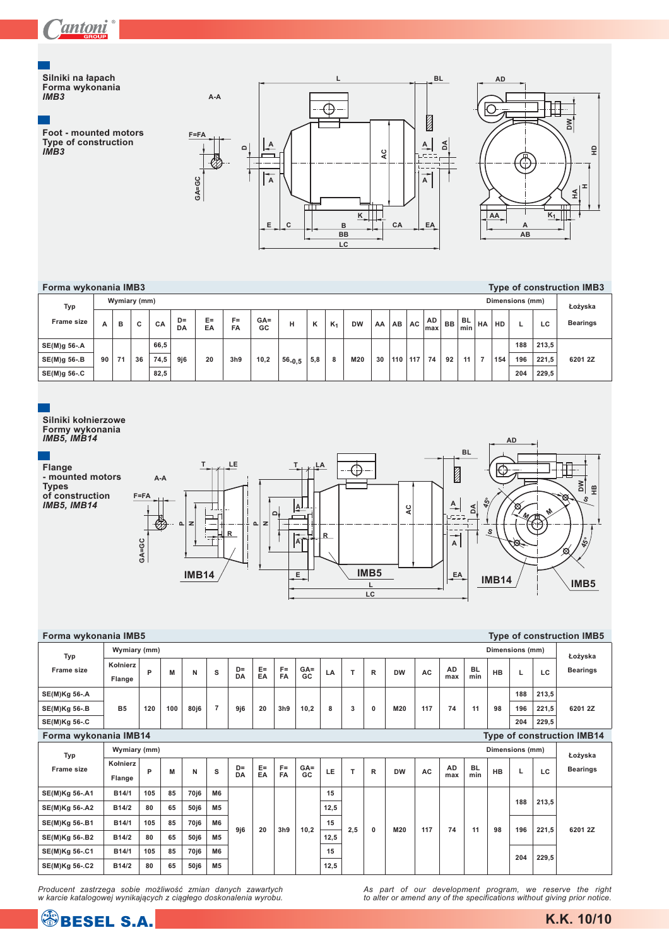

#### **Silniki na ³apach Forma wykonania** *IMB3*

**Foot - mounted motors Type of construction** *IMB3*





| Forma wykonania IMB3 |    |              |    |      |          |          |             |              |            |     |                |           |    |                  |     |           |    |                  |    |     |                 |       | Type of construction IMB3 |
|----------------------|----|--------------|----|------|----------|----------|-------------|--------------|------------|-----|----------------|-----------|----|------------------|-----|-----------|----|------------------|----|-----|-----------------|-------|---------------------------|
| <b>Typ</b>           |    | Wymiary (mm) |    |      |          |          |             |              |            |     |                |           |    |                  |     |           |    |                  |    |     | Dimensions (mm) |       | Łożyska                   |
| <b>Frame size</b>    | A  | в            | c  | CA   | D=<br>DA | E=<br>EA | $F =$<br>FA | $GA =$<br>GC | н          | ĸ   | K <sub>1</sub> | <b>DW</b> | AA | AB               | AC  | AD<br>max | BB | <b>BL</b><br>min | HA | HD  |                 | LC    | <b>Bearings</b>           |
| SE(M)g 56-.A         |    |              |    | 66,5 |          |          |             |              |            |     |                |           |    |                  |     |           |    |                  |    |     | 188             | 213,5 |                           |
| SE(M)g 56-.B         | 90 | 71           | 36 | 74,5 | 9j6      | 20       | 3h9         | 10,2         | $56 - 0.5$ | 5,8 | 8              | M20       | 30 | 110 <sup>1</sup> | 117 | 74        | 92 |                  |    | 154 | 196             | 221.5 | 6201 2Z                   |
| SE(M)g 56-.C         |    |              |    | 82,5 |          |          |             |              |            |     |                |           |    |                  |     |           |    |                  |    |     | 204             | 229.5 |                           |



| Forma wykonania IMB5  |                    |     |     |                  |                |            |             |                    |               |      |              |              |           |           |                  |                  |           |                 |       | <b>Type of construction IMB5</b>  |
|-----------------------|--------------------|-----|-----|------------------|----------------|------------|-------------|--------------------|---------------|------|--------------|--------------|-----------|-----------|------------------|------------------|-----------|-----------------|-------|-----------------------------------|
| Typ                   | Wymiary (mm)       |     |     |                  |                |            |             |                    |               |      |              |              |           |           |                  |                  |           | Dimensions (mm) |       | Łożyska                           |
| Frame size            | Kołnierz<br>Flange | P   | M   | N                | s              | $D=$<br>DA | $E =$<br>EA | $F =$<br><b>FA</b> | $GA =$<br>GC. | LA   | $\mathsf{T}$ | $\mathbb{R}$ | <b>DW</b> | <b>AC</b> | <b>AD</b><br>max | <b>BL</b><br>min | <b>HB</b> | L               | LC    | <b>Bearings</b>                   |
| SE(M)Kg 56-.A         |                    |     |     |                  |                |            |             |                    |               |      |              |              |           |           |                  |                  |           | 188             | 213,5 |                                   |
| SE(M)Kg 56-.B         | <b>B5</b>          | 120 | 100 | 80j6             | $\overline{7}$ | 9j6        | 20          | 3h9                | 10,2          | 8    | 3            | 0            | M20       | 117       | 74               | 11               | 98        | 196             | 221,5 | 6201 2Z                           |
| SE(M)Kg 56-.C         |                    |     |     |                  |                |            |             |                    |               |      |              |              |           |           |                  |                  |           | 204             | 229,5 |                                   |
| Forma wykonania IMB14 |                    |     |     |                  |                |            |             |                    |               |      |              |              |           |           |                  |                  |           |                 |       | <b>Type of construction IMB14</b> |
| Typ                   | Wymiary (mm)       |     |     |                  |                |            |             |                    |               |      |              |              |           |           |                  |                  |           | Dimensions (mm) |       | Łożyska                           |
| Frame size            | Kołnierz<br>Flange | P   | M   | N                | s              | $D=$<br>DA | $E =$<br>EA | $F =$<br><b>FA</b> | $GA =$<br>GC  | LE   | T            | R            | <b>DW</b> | <b>AC</b> | <b>AD</b><br>max | <b>BL</b><br>min | <b>HB</b> | L               | LC    | <b>Bearings</b>                   |
| SE(M)Kg 56-.A1        | B14/1              | 105 | 85  | 70 <sub>i6</sub> | M <sub>6</sub> |            |             |                    |               | 15   |              |              |           |           |                  |                  |           |                 |       |                                   |
| SE(M)Kg 56-.A2        | B14/2              | 80  | 65  | 50j6             | M <sub>5</sub> |            |             |                    |               | 12,5 |              |              |           |           |                  |                  |           | 188             | 213,5 |                                   |
| SE(M)Kg 56-.B1        | B14/1              | 105 | 85  | 70j6             | M <sub>6</sub> | 9j6        | 20          | 3h9                | 10.2          | 15   | 2.5          | 0            | M20       | 117       | 74               | 11               | 98        | 196             | 221,5 | 6201 2Z                           |
| SE(M)Kg 56-.B2        | B14/2              | 80  | 65  | 50j6             | M <sub>5</sub> |            |             |                    |               | 12,5 |              |              |           |           |                  |                  |           |                 |       |                                   |
| SE(M)Kg 56-.C1        | B14/1              | 105 | 85  | 70 <sub>i6</sub> | M6             |            |             |                    |               | 15   |              |              |           |           |                  |                  |           | 204             | 229,5 |                                   |
| SE(M)Kg 56-.C2        | B14/2              | 80  | 65  | 50j6             | M <sub>5</sub> |            |             |                    |               | 12.5 |              |              |           |           |                  |                  |           |                 |       |                                   |

*Producent zastrzega sobie możliwość zmian danych zawartych*<br>w karcie katalogowej wynikających z ciągłego doskonalenia wyrobu.

*As part of our development program, we reserve the right to alter or amend any of the specifications without giving prior notice.*

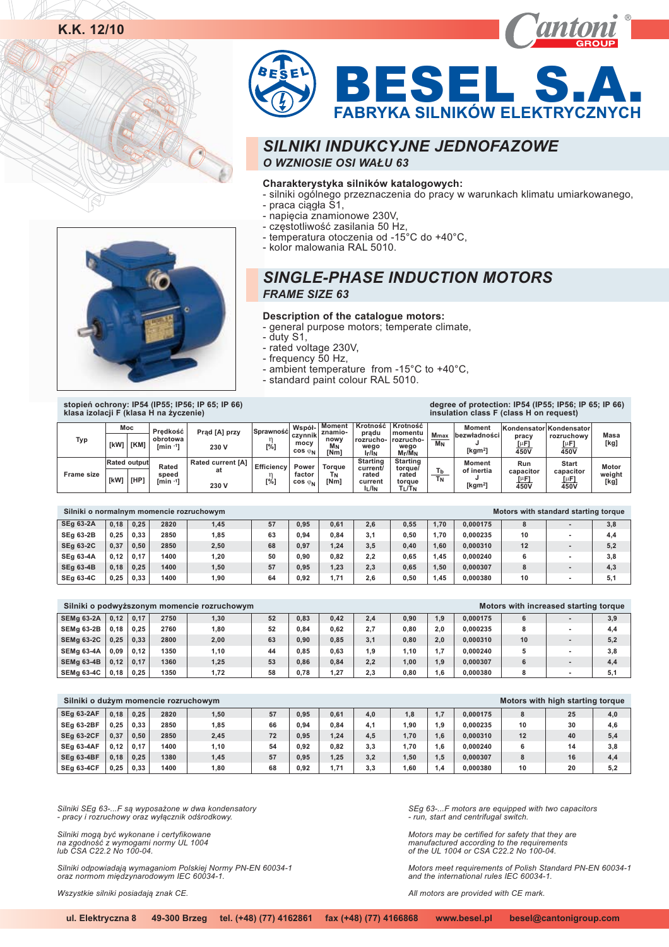



#### **Charakterystyka silników katalogowych:**

- silniki ogólnego przeznaczenia do pracy w warunkach klimatu umiarkowanego,
- praca ciągła S1,
- napięcia znamionowe 230V,
- częstotliwość zasilania 50 Hz,
- temperatura otoczenia od -15°C do +40°C,
- kolor malowania RAL 5010.

## *SINGLE-PHASE INDUCTION MOTORS FRAME SIZE 63*

#### **Description of the catalogue motors:**

- general purpose motors; temperate climate,

- duty S1,
- rated voltage 230V ',
- frequency 50 Hz,
- ambient temperature from -15°C to +40°C,
- standard paint colour RAL 5010.

**stopieñ ochrony: IP54 (IP55; IP56; IP 65; IP 66) klasa izolacji F (klasa H na ¿yczenie)**

| klasa izolacji F (klasa H na życzenie) |           |                     |                                    |                                         |                          |                                              |                                                   |                                                          |                                                        |                                      | insulation class F (class H on request)            |                                  |                                                              |                         |
|----------------------------------------|-----------|---------------------|------------------------------------|-----------------------------------------|--------------------------|----------------------------------------------|---------------------------------------------------|----------------------------------------------------------|--------------------------------------------------------|--------------------------------------|----------------------------------------------------|----------------------------------|--------------------------------------------------------------|-------------------------|
| <b>Typ</b>                             | [kW]      | Moc<br>[KM]         | Predkość<br>obrotowa<br>$rmin -11$ | Prad [A] przy<br>230 V                  | Sprawność<br>$[\%]$      | Współ-<br>czvnnik<br>mocy<br>$cos \varphi_N$ | Moment<br>znamio-<br>nowy<br>M <sub>N</sub><br>Nm | Krotność<br>prądu<br>rozrucho-<br>weao<br>$I_r/I_N$      | Krotność<br>momentu<br>rozrucho-<br>weao<br>$M_f/M_N$  | <b>M</b> max<br><b>M<sub>N</sub></b> | <b>Moment</b><br><b>bezwładności</b><br>[ $kgm2$ ] | pracv<br>[µF]<br>450V            | Kondensator Kondensator<br>rozruchowy<br>$[ \mu F ]$<br>450V | Masa<br>[kg]            |
| <b>Frame size</b>                      | [kW] [HP] | <b>Rated output</b> | Rated<br>speed<br>$rmin -11$       | <b>Rated current [A]</b><br>at<br>230 V | <b>Efficiency</b><br>[%] | Power<br>factor<br>$cos \varphi_N$           | <b>Toraue</b><br>Tм<br>[Nm]                       | <b>Starting</b><br>current/<br>rated<br>current<br>IL/IN | <b>Starting</b><br>torgue/<br>rated<br>toraue<br>TL/TN | Tb<br><b>T<sub>N</sub></b>           | Moment<br>of inertia<br>[ $kgm2$ ]                 | Run<br>capacitor<br>[µF]<br>450V | <b>Start</b><br>capacitor<br>$[ \mu F ]$<br>450V             | Motor<br>weight<br>[kg] |

| Silniki o normalnym momencie rozruchowym |      |      |      |       |    |      |      |     |      |      |          |    | Motors with standard starting torque |     |
|------------------------------------------|------|------|------|-------|----|------|------|-----|------|------|----------|----|--------------------------------------|-----|
| <b>SEg 63-2A</b>                         | 0.18 | 0.25 | 2820 | 1,45  | 57 | 0.95 | 0,61 | 2.6 | 0.55 | 1.70 | 0.000175 |    |                                      | 3,8 |
| <b>SEg 63-2B</b>                         | 0.25 | 0.33 | 2850 | 1,85  | 63 | 0.94 | 0.84 | 3.1 | 0.50 | 1.70 | 0.000235 | 10 |                                      | 4,4 |
| <b>SEg 63-2C</b>                         | 0.37 | 0.50 | 2850 | 2,50  | 68 | 0.97 | 1,24 | 3.5 | 0.40 | 1.60 | 0.000310 | 12 |                                      | 5,2 |
| <b>SEq 63-4A</b>                         | 0.12 | 0.17 | 1400 | 1.20  | 50 | 0.90 | 0.82 | 2.2 | 0.65 | .45  | 0.000240 |    |                                      | 3,8 |
| <b>SEg 63-4B</b>                         | 0.18 | 0.25 | 1400 | 1,50  | 57 | 0.95 | 1.23 | 2.3 | 0.65 | 1.50 | 0.000307 |    |                                      | 4,3 |
| <b>SEg 63-4C</b>                         | 0.25 | 0.33 | 1400 | 90. ا | 64 | 0.92 | 1,71 | 2.6 | 0.50 | .45  | 0.000380 | 10 |                                      | 5.1 |

|                   |      |      |      | Silniki o podwyższonym momencie rozruchowym |    |      |      |       |      |     |          |    | Motors with increased starting torque |     |
|-------------------|------|------|------|---------------------------------------------|----|------|------|-------|------|-----|----------|----|---------------------------------------|-----|
| <b>SEMa 63-2A</b> | 0.12 | 0.17 | 2750 | 1,30                                        | 52 | 0.83 | 0.42 | 2.4   | 0.90 | .9  | 0.000175 | 6  |                                       | 3,9 |
| SEMa 63-2B        | 0.18 | 0.25 | 2760 | 1,80                                        | 52 | 0.84 | 0.62 | 2.7   | 0.80 | 2.0 | 0.000235 |    |                                       | 4.4 |
| <b>SEMa 63-2C</b> | 0.25 | 0.33 | 2800 | 2,00                                        | 63 | 0.90 | 0,85 | 3.1   | 0.80 | 2.0 | 0.000310 | 10 |                                       | 5,2 |
| SEMa 63-4A        | 0.09 | 0.12 | 1350 | 1,10                                        | 44 | 0.85 | 0.63 | . . 9 | 1.10 | .7  | 0.000240 |    |                                       | 3.8 |
| <b>SEMa 63-4B</b> | 0.12 | 0.17 | 1360 | 1,25                                        | 53 | 0.86 | 0.84 | 2.2   | 1.00 | 1.9 | 0.000307 |    |                                       | 4,4 |
| <b>SEMa 63-4C</b> | 0.18 | 0.25 | 1350 | 1.72                                        | 58 | 0.78 | 1,27 | 2.3   | 0.80 | .6  | 0.000380 |    |                                       | 5.1 |

| Silniki o dużym momencie rozruchowym |      |      |      |      |    |      |      |     |      |                |          |               | Motors with high starting torque |     |
|--------------------------------------|------|------|------|------|----|------|------|-----|------|----------------|----------|---------------|----------------------------------|-----|
| <b>SEq 63-2AF</b>                    | 0.18 | 0.25 | 2820 | 1,50 | 57 | 0.95 | 0,61 | 4.0 | 1,8  |                | 0.000175 | 8             | 25                               | 4,0 |
| <b>SEq 63-2BF</b>                    | 0.25 | 0.33 | 2850 | 1,85 | 66 | 0.94 | 0.84 | 4.1 | .90  | .9             | 0.000235 | 10            | 30                               | 4,6 |
| <b>SEq 63-2CF</b>                    | 0.37 | 0.50 | 2850 | 2,45 | 72 | 0.95 | 1,24 | 4.5 | 1.70 | $\overline{6}$ | 0.000310 | 12            | 40                               | 5,4 |
| <b>SEq 63-4AF</b>                    | 0.12 | 0.17 | 1400 | 1,10 | 54 | 0.92 | 0,82 | 3.3 | .70  | .6             | 0.000240 | 6             | 14                               | 3,8 |
| <b>SEq 63-4BF</b>                    | 0.18 | 0.25 | 1380 | 1,45 | 57 | 0.95 | 1,25 | 3,2 | .50  | .5             | 0.000307 | $\Omega$<br>o | 16                               | 4,4 |
| <b>SEg 63-4CF</b>                    | 0.25 | 0.33 | 1400 | 1,80 | 68 | 0,92 | 1,71 | 3,3 | .60  | 1,4            | 0.000380 | 10            | 20                               | 5,2 |

*Silniki SEg 63-...F s¹ wyposa¿one w dwa kondensatory - pracy i rozruchowy oraz wy³¹cznik odœrodkowy.*

*Silniki mogą być wykonane i certyfikowane*<br>*na zgodność z wymogami normy UL 1004 lub CSA C22.2 No 100-04.*

Silniki odpowiadają wymaganiom Polskiej Normy PN-EN 60034-1<br>oraz normom międzynarodowym IEC 60034-1.

*Wszystkie silniki posiadaj¹ znak CE.*

*SEg 63-...F motors are equipped with two capacitors - run, start and centrifugal switch.*

*Motors may be certified for safety that they are manufactured according to the requirements of the UL 1004 or CSA C22.2 No 100-04.*

*Motors meet requirements of Polish Standard PN-EN 60034-1 and the international rules IEC 60034-1.*

**degree of protection: IP54 (IP55; IP56; IP 65; IP 66)**

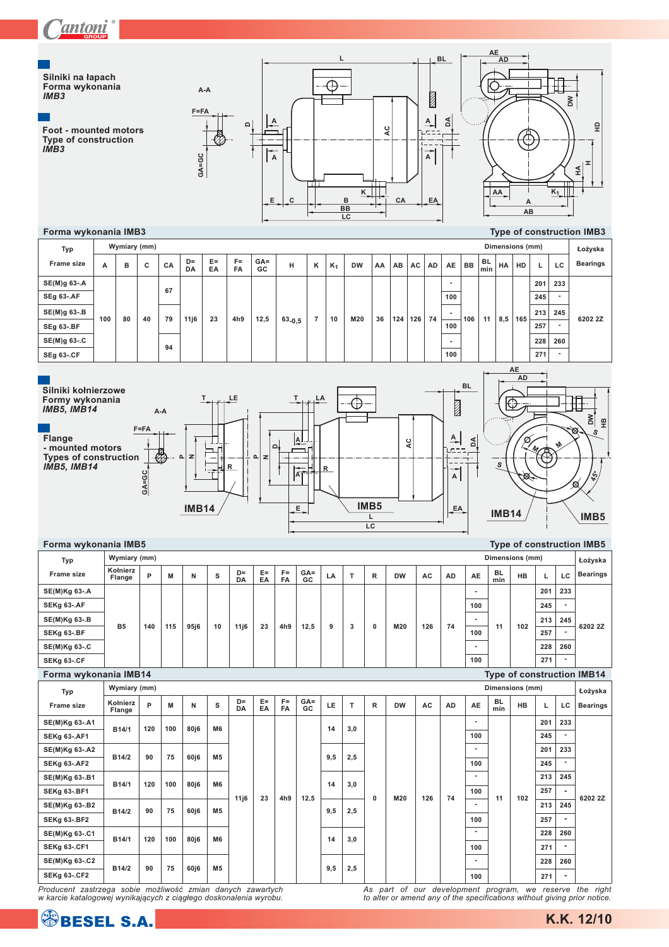

| Typ                   | Wymiary (mm)       |     |     |                   |                |                    |             |                    |              |     |     |             |           |     |           |                          |                  | Dimensions (mm) |     |     | Łożyska                           |
|-----------------------|--------------------|-----|-----|-------------------|----------------|--------------------|-------------|--------------------|--------------|-----|-----|-------------|-----------|-----|-----------|--------------------------|------------------|-----------------|-----|-----|-----------------------------------|
| Frame size            | Kołnierz<br>Flange | P   | M   | N                 | s              | $D =$<br>DA        | $E =$<br>EA | $F =$<br><b>FA</b> | $GA =$<br>GC | LA  | T.  | R           | <b>DW</b> | AC  | <b>AD</b> | AE                       | BL.<br>min       | <b>HB</b>       | L.  | LC  | <b>Bearings</b>                   |
| SE(M)Kg 63-.A         |                    |     |     |                   |                |                    |             |                    |              |     |     |             |           |     |           |                          |                  |                 | 201 | 233 |                                   |
| SEKg 63-.AF           |                    |     |     |                   |                |                    |             |                    |              |     |     |             |           |     |           | 100                      |                  |                 | 245 |     |                                   |
| SE(M)Kg 63-.B         | <b>B5</b>          | 140 | 115 |                   |                |                    |             | 4h9                | 12,5         | 9   | 3   | 0           | M20       | 126 | 74        | $\overline{a}$           | 11               | 102             | 213 | 245 | 6202 2Z                           |
| SEKg 63-.BF           |                    |     |     | 95 <sub>i6</sub>  | 10             | 11j6               | 23          |                    |              |     |     |             |           |     |           | 100                      |                  |                 | 257 |     |                                   |
| SE(M)Kg 63-.C         |                    |     |     |                   |                |                    |             |                    |              |     |     |             |           |     |           |                          |                  |                 | 228 | 260 |                                   |
| SEKg 63-.CF           |                    |     |     |                   |                |                    |             |                    |              |     |     |             |           |     |           | 100                      |                  |                 | 271 |     |                                   |
| Forma wykonania IMB14 |                    |     |     |                   |                |                    |             |                    |              |     |     |             |           |     |           |                          |                  |                 |     |     | <b>Type of construction IMB14</b> |
| Typ                   | Wymiary (mm)       |     |     |                   |                |                    |             |                    |              |     |     |             |           |     |           |                          |                  | Dimensions (mm) |     |     | Łożyska                           |
| Frame size            | Kołnierz<br>Flange | P   | M   | N                 | s              | $D =$<br><b>DA</b> | $E =$<br>EA | $F =$<br>FA        | $GA =$<br>GC | LE  | T.  | R           | <b>DW</b> | AC  | AD        | AE                       | <b>BL</b><br>min | <b>HB</b>       | L.  | LC  | <b>Bearings</b>                   |
| SE(M)Kg 63-.A1        | B14/1              | 120 | 100 | 80j6              | M <sub>6</sub> |                    |             |                    |              | 14  | 3,0 |             |           |     |           | ٠                        |                  |                 | 201 | 233 |                                   |
| <b>SEKg 63-.AF1</b>   |                    |     |     |                   |                |                    |             |                    |              |     |     |             |           |     |           | 100                      |                  |                 | 245 |     |                                   |
| SE(M)Kg 63-.A2        | B14/2              | 90  | 75  | 60j6              | M <sub>5</sub> |                    |             |                    |              | 9,5 | 2,5 |             |           |     |           |                          |                  |                 | 201 | 233 |                                   |
| <b>SEKg 63-.AF2</b>   |                    |     |     |                   |                |                    |             |                    |              |     |     |             |           |     |           | 100                      |                  |                 | 245 |     |                                   |
| SE(M)Kg 63-.B1        | B14/1              | 120 | 100 | 80j6              | <b>M6</b>      |                    |             |                    |              | 14  | 3,0 |             |           |     |           |                          |                  |                 | 213 | 245 |                                   |
| <b>SEKg 63-.BF1</b>   |                    |     |     |                   |                | 11j6               | 23          | 4h9                | 12,5         |     |     | $\mathbf 0$ | M20       | 126 | 74        | 100                      | 11               | 102             | 257 |     | 6202 2Z                           |
| SE(M)Kg 63-.B2        | B14/2              | 90  | 75  | 60j6              | M <sub>5</sub> |                    |             |                    |              | 9,5 | 2,5 |             |           |     |           |                          |                  |                 | 213 | 245 |                                   |
| <b>SEKg 63-.BF2</b>   |                    |     |     |                   |                |                    |             |                    |              |     |     |             |           |     |           | 100                      |                  |                 | 257 |     |                                   |
| SE(M)Kg 63-.C1        | B14/1              | 120 | 100 | 80j6              | M <sub>6</sub> |                    |             |                    |              | 14  | 3,0 |             |           |     |           |                          |                  |                 | 228 | 260 |                                   |
| <b>SEKg 63-.CF1</b>   |                    |     |     |                   |                |                    |             |                    |              |     |     |             |           |     |           | 100                      |                  |                 | 271 |     |                                   |
| SE(M)Kg 63-.C2        | B14/2              | 90  | 75  |                   | M <sub>5</sub> |                    |             |                    |              |     |     |             |           |     |           | $\overline{\phantom{a}}$ |                  |                 | 228 | 260 |                                   |
| <b>SEKg 63-.CF2</b>   |                    |     |     | 60 <sub>i</sub> 6 |                |                    |             |                    |              | 9,5 | 2,5 |             |           |     |           | 100                      |                  |                 | 271 |     |                                   |

producent zastrzega sobie możliwość zmian danych zawartych<br>w karcie katalogowej wynikających z ciągłego doskonalenia wyrobu.

As part of our development program, we reserve the right to alter or amend any of the specifications without giving prior notice.

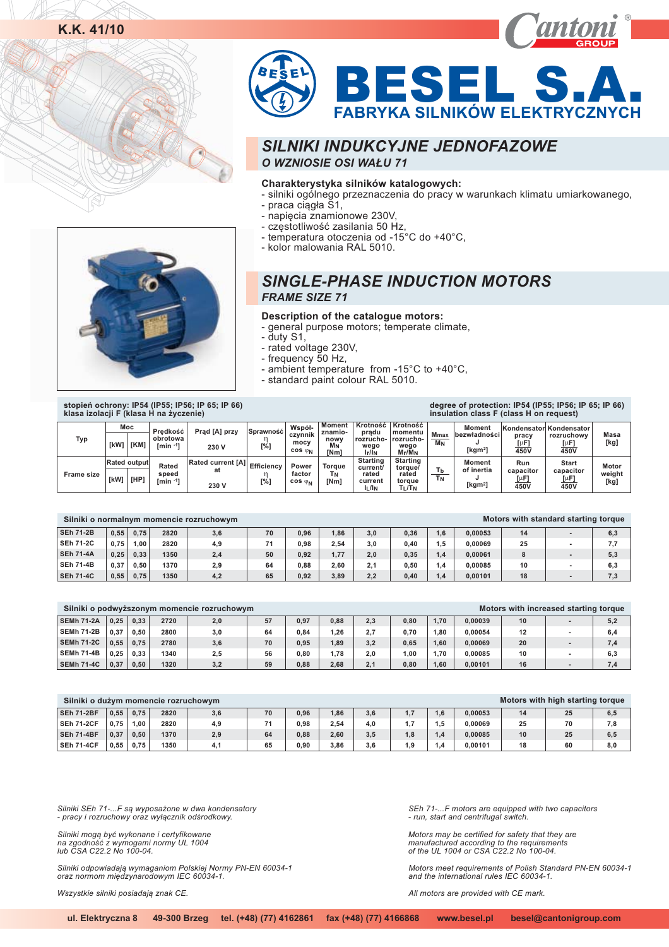



## **Charakterystyka silników katalogowych:**

- silniki ogólnego przeznaczenia do pracy w warunkach klimatu umiarkowanego,
- praca ciągła S1,
- napięcia znamionowe 230V,
- częstotliwość zasilania 50 Hz,
- temperatura otoczenia od -15°C do +40°C,
- kolor malowania RAL 5010.

## *SINGLE-PHASE INDUCTION MOTORS FRAME SIZE 71*

#### **Description of the catalogue motors:**

- general purpose motors; temperate climate,

- duty S1,
- rated voltage 230V,
- frequency 50 Hz,
- ambient temperature from -15°C to +40°C,
- standard paint colour RAL 5010.



**stopieñ ochrony: IP54 (IP55; IP56; IP 65; IP 66) klasa izolacji F (klasa H na ¿yczenie)**

| klasa izolacji F (klasa H na życzenie) |      |                     |                        |                                    |                  |                           |                    |                                |                              |             | we give eightere en en in eighteer ver in een in een<br>insulation class F (class H on request) |                  |                                       |                |
|----------------------------------------|------|---------------------|------------------------|------------------------------------|------------------|---------------------------|--------------------|--------------------------------|------------------------------|-------------|-------------------------------------------------------------------------------------------------|------------------|---------------------------------------|----------------|
|                                        | Moc  |                     | Predkość               | Prad [A] przy                      | <b>Sprawność</b> | Współ-<br>czynnik         | Moment<br>znamio-  | Krotność<br>prądu              | Krotność<br>momentu          | <b>Mmax</b> | Moment<br>bezwładności                                                                          | pracy            | Kondensator Kondensator<br>rozruchowy | Masa           |
| <b>Typ</b>                             | [kW] | [KM]                | obrotowa<br>$rmin -11$ | 230 V                              | [%]              | mocy<br>$cos \varphi_N$   | nowy<br>Mм<br>[Nm] | rozrucho-<br>weao<br>$I_r/I_N$ | rozrucho-<br>weao<br>Mr/MN   | MN          | [kgm <sup>2</sup> ]                                                                             | [µF]<br>450V     | [µF]<br>450V                          | [kg]           |
|                                        |      | <b>Rated output</b> | Rated                  | Rated current [A] Efficiency<br>at |                  | Power                     | <b>Toraue</b>      | <b>Starting</b><br>current/    | Starting<br>torgue/          | Тb          | <b>Moment</b><br>of inertia                                                                     | Run<br>capacitor | <b>Start</b><br>capacitor             | Motor          |
| <b>Frame size</b>                      | [kW] | [HP]                | speed<br>$[min -1]$    | 230 V                              | [%]              | factor<br>$cos \varphi_N$ | Τм<br>[Nm]         | rated<br>current<br>I∟/In      | rated<br>toraue<br>$T_L/T_N$ | <b>TN</b>   | [ $kgm2$ ]                                                                                      | [µF]<br>450V     | [µF]<br>450V                          | weight<br>[kg] |

|                  |      |      |      | Silniki o normalnym momencie rozruchowym |    |      |      |     |      |         |         |    | Motors with standard starting torque |     |
|------------------|------|------|------|------------------------------------------|----|------|------|-----|------|---------|---------|----|--------------------------------------|-----|
| <b>SEh 71-2B</b> | 0.55 | 0.75 | 2820 | 3,6                                      | 70 | 0.96 | 1,86 | 3,0 | 0,36 | .6      | 0.00053 | 14 |                                      | 6,3 |
| <b>SEh 71-2C</b> | 0.75 | 1.00 | 2820 | 4,9                                      | 71 | 0.98 | 2.54 | 3.0 | 0.40 | $.5\,$  | 0.00069 | 25 |                                      | 7.7 |
| <b>SEh 71-4A</b> | 0.25 | 0.33 | 1350 | 2,4                                      | 50 | 0.92 | 1,77 | 2.0 | 0,35 | .4      | 0.00061 |    |                                      | 5,3 |
| <b>SEh 71-4B</b> | 0.37 | 0.50 | 1370 | 2,9                                      | 64 | 0.88 | 2.60 | 2.1 | 0.50 | $\cdot$ | 0.00085 | 10 |                                      | 6,3 |
| <b>SEh 71-4C</b> | 0.55 | 0.75 | 1350 | 4,2                                      | 65 | 0.92 | 3,89 | 2,2 | 0.40 | .4      | 0.00101 | 18 |                                      | 7,3 |

|                   |      |      |      | Silniki o podwyższonym momencie rozruchowym |    |      |      |     |      |      |         |    | Motors with increased starting torque |     |
|-------------------|------|------|------|---------------------------------------------|----|------|------|-----|------|------|---------|----|---------------------------------------|-----|
| <b>SEMh 71-2A</b> | 0.25 | 0.33 | 2720 | 2,0                                         | 57 | 0.97 | 0.88 | 2.3 | 0.80 | 1.70 | 0.00039 | 10 |                                       | 5,2 |
| SEMh 71-2B        | 0.37 | 0.50 | 2800 | 3.0                                         | 64 | 0.84 | 1.26 | 2.7 | 0.70 | .80  | 0.00054 | 12 |                                       | 6.4 |
| <b>SEMh 71-2C</b> | 0.55 | 0.75 | 2780 | 3,6                                         | 70 | 0.95 | 1.89 | 3.2 | 0.65 | .60  | 0.00069 | 20 |                                       | 7,4 |
| <b>SEMh 71-4B</b> | 0.25 | 0.33 | 1340 | 2,5                                         | 56 | 0.80 | 1.78 | 2.0 | 1.00 | 1.70 | 0.00085 | 10 |                                       | 6.3 |
| <b>SEMh 71-4C</b> | 0.37 | 0.50 | 1320 | 3,2                                         | 59 | 0.88 | 2.68 | 2.1 | 0.80 | .60  | 0.00101 |    |                                       | 7.4 |

| Silniki o dużym momencie rozruchowym |      |      |      |     |    |      |      |     |                |     |         |    | Motors with high starting torque |     |
|--------------------------------------|------|------|------|-----|----|------|------|-----|----------------|-----|---------|----|----------------------------------|-----|
| <b>SEh 71-2BF</b>                    | 0,55 | 0,75 | 2820 | 3,6 | 70 | 0.96 | ,86  | 3,6 | 17             | 1.6 | 0.00053 | 14 | 25                               | 6,5 |
| <b>SEh 71-2CF</b>                    | 0.75 | 1.00 | 2820 | 4,9 | 71 | 0.98 | 2,54 | 4.0 | $\overline{ }$ | 1.5 | 0.00069 | 25 | 70                               | 7,8 |
| <b>SEh 71-4BF</b>                    | 0.37 | 0,50 | 1370 | 2,9 | 64 | 0.88 | 2,60 | 3,5 | 1,8            | 1.4 | 0.00085 | 10 | 25                               | 6,5 |
| <b>SEh 71-4CF</b>                    | 0.55 | 0.75 | 1350 | 4.1 | 65 | 0.90 | 3,86 | 3.6 | 1.9            | 1.4 | 0.00101 | 18 | 60                               | 8,0 |

*Silniki SEh 71-...F s¹ wyposa¿one w dwa kondensatory - pracy i rozruchowy oraz wy³¹cznik odœrodkowy.*

Silniki mogą być wykonane i certyfikowane<br>na zgodność z wymogami normy UL 1004 *lub CSA C22.2 No 100-04.*

Silniki odpowiadają wymaganiom Polskiej Normy PN-EN 60034-1<br>oraz normom międzynarodowym IEC 60034-1.

**Wszystkie silniki posiadają znak CE.** 

*SEh 71-...F motors are equipped with two capacitors - run, start and centrifugal switch.*

*Motors may be certified for safety that they are manufactured according to the requirements of the UL 1004 or CSA C22.2 No 100-04.*

*Motors meet requirements of Polish Standard PN-EN 60034-1 and the international rules IEC 60034-1.*

**degree of protection: IP54 (IP55; IP56; IP 65; IP 66)**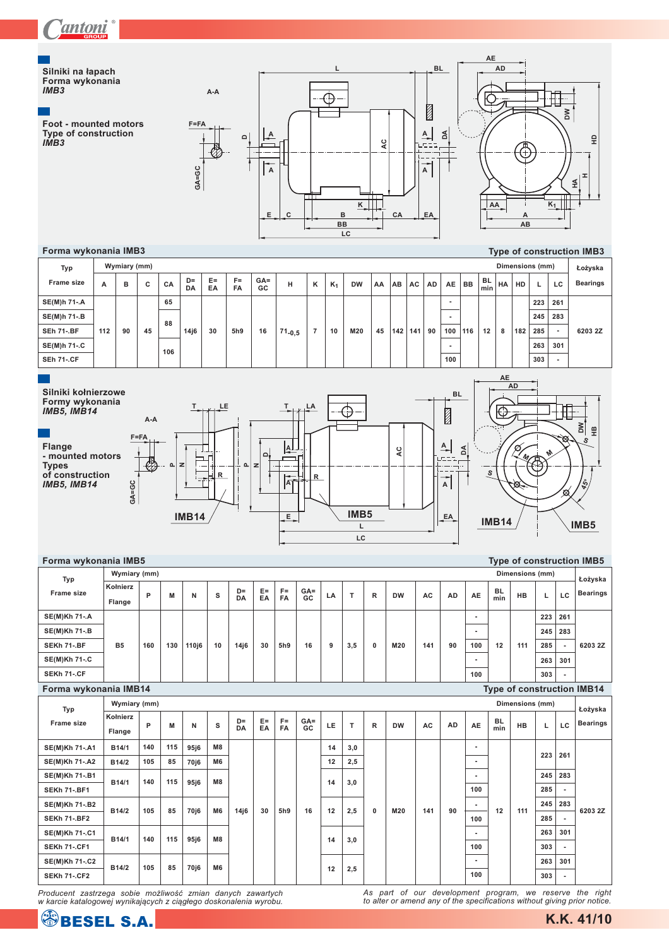



#### **A B C CA D= DA E= EA F= FA GA= GC H K K DW AA AB <sup>1</sup> AC AD AE BL Wymiary (mm) Dimensions (mm) Typ Frame size 88 SE(M)h 71-.B - 245 283 SE(M)h 71-.A 65 - 223 261**

**106**

**112 90 45**

**SEh 71-.BF SE(M)h 71-.C** **14j6 30 5h9 16 71-0,5 7 10 M20 45 142**

 $\mathsf{BB}$   $\left| \frac{\mathsf{DL}}{\mathsf{min}} \right|$  **HA**  $\left| \mathsf{HD} \right|$  **L**  $\left| \mathsf{LC} \right|$ **£o¿yska Bearings 263 301 285 - 303 - 141 90 116 12 8 182 100 6203 2Z**

**-**



| Forma wykonania IMB5  |                           |     |     |                  |                |             |             |                    |              |    |     |              |           |     |           |                |                  |                 |     |                          | <b>Type of construction IMB5</b>  |
|-----------------------|---------------------------|-----|-----|------------------|----------------|-------------|-------------|--------------------|--------------|----|-----|--------------|-----------|-----|-----------|----------------|------------------|-----------------|-----|--------------------------|-----------------------------------|
| Typ                   | Wymiary (mm)              |     |     |                  |                |             |             |                    |              |    |     |              |           |     |           |                |                  | Dimensions (mm) |     |                          | Łożyska                           |
| Frame size            | Kołnierz<br><b>Flange</b> | P   | M   | N                | s              | $D =$<br>DA | $E =$<br>EA | $F =$<br><b>FA</b> | $GA =$<br>GC | LA | T   | R            | <b>DW</b> | AC  | <b>AD</b> | AE             | <b>BL</b><br>min | <b>HB</b>       | L   | LC                       | <b>Bearings</b>                   |
| <b>SE(M)Kh 71-.A</b>  |                           |     |     |                  |                |             |             |                    |              |    |     |              |           |     |           | ٠              |                  |                 | 223 | 261                      |                                   |
| <b>SE(M)Kh 71-.B</b>  |                           |     |     |                  |                |             |             |                    |              |    |     |              |           |     |           | $\blacksquare$ |                  |                 | 245 | 283                      |                                   |
| SEKh 71-.BF           | <b>B5</b>                 | 160 | 130 | 110i6            | 10             | 14j6        | 30          | 5h9                | 16           | 9  | 3.5 | $\bf{0}$     | M20       | 141 | 90        | 100            | 12               | 111             | 285 | $\blacksquare$           | 6203 2Z                           |
| <b>SE(M)Kh 71-.C</b>  |                           |     |     |                  |                |             |             |                    |              |    |     |              |           |     |           | $\blacksquare$ |                  |                 | 263 | 301                      |                                   |
| SEKh 71-.CF           |                           |     |     |                  |                |             |             |                    |              |    |     |              |           |     |           | 100            |                  |                 | 303 | $\overline{\phantom{a}}$ |                                   |
| Forma wykonania IMB14 |                           |     |     |                  |                |             |             |                    |              |    |     |              |           |     |           |                |                  |                 |     |                          | <b>Type of construction IMB14</b> |
| Typ                   | Wymiary (mm)              |     |     |                  |                |             |             |                    |              |    |     |              |           |     |           |                |                  | Dimensions (mm) |     |                          | Łożyska                           |
| Frame size            | Kołnierz<br>Flange        | P   | M   | N                | s              | $D =$<br>DA | $E =$<br>EA | $F =$<br><b>FA</b> | $GA =$<br>GC | LE | т   | $\mathsf{R}$ | <b>DW</b> | AC  | <b>AD</b> | AE             | <b>BL</b><br>min | <b>HB</b>       | г   | LC                       | <b>Bearings</b>                   |
| <b>SE(M)Kh 71-.A1</b> | B14/1                     | 140 | 115 | 95 <sub>i6</sub> | M8             |             |             |                    |              | 14 | 3,0 |              |           |     |           | ٠              |                  |                 |     |                          |                                   |
| <b>SE(M)Kh 71-.A2</b> | B14/2                     | 105 | 85  | 70 <sub>i6</sub> | M <sub>6</sub> |             |             |                    |              | 12 | 2,5 |              |           |     |           | ٠              |                  |                 | 223 | 261                      |                                   |
| <b>SE(M)Kh 71-.B1</b> | B14/1                     | 140 | 115 | 95 <sub>i6</sub> | M8             |             |             |                    |              | 14 | 3.0 |              |           |     |           | ٠              |                  |                 | 245 | 283                      |                                   |
| <b>SEKh 71-.BF1</b>   |                           |     |     |                  |                |             |             |                    |              |    |     |              |           |     |           | 100            |                  |                 | 285 | $\blacksquare$           |                                   |
| <b>SE(M)Kh 71-.B2</b> | B14/2                     | 105 | 85  | 70 <sub>i6</sub> | M <sub>6</sub> | 14i6        | 30          | 5h9                | 16           | 12 | 2.5 | $\mathbf{0}$ | M20       | 141 | 90        | $\blacksquare$ | 12               | 111             | 245 | 283                      | 6203 2Z                           |
| <b>SEKh 71-.BF2</b>   |                           |     |     |                  |                |             |             |                    |              |    |     |              |           |     |           | 100            |                  |                 | 285 | $\overline{\phantom{a}}$ |                                   |
| <b>SE(M)Kh 71-.C1</b> | B14/1                     | 140 | 115 | 95 <sub>i6</sub> | M8             |             |             |                    |              | 14 | 3,0 |              |           |     |           | ٠              |                  |                 | 263 | 301                      |                                   |
| <b>SEKh 71-.CF1</b>   |                           |     |     |                  |                |             |             |                    |              |    |     |              |           |     |           | 100            |                  |                 | 303 | $\overline{\phantom{a}}$ |                                   |
| <b>SE(M)Kh 71-.C2</b> | B14/2                     | 105 | 85  | 70 <sub>i6</sub> | M <sub>6</sub> |             |             |                    |              | 12 | 2,5 |              |           |     |           | ٠              |                  |                 | 263 | 301                      |                                   |
| <b>SEKh 71-.CF2</b>   |                           |     |     |                  |                |             |             |                    |              |    |     |              |           |     |           | 100            |                  |                 | 303 | $\blacksquare$           |                                   |

*Producent zastrzega sobie możliwość zmian danych zawartych*<br>w karcie katalogowej wynikających z ciągłego doskonalenia wyrobu.

*As part of our development program, we reserve the right to alter or amend any of the specifications without giving prior notice.*

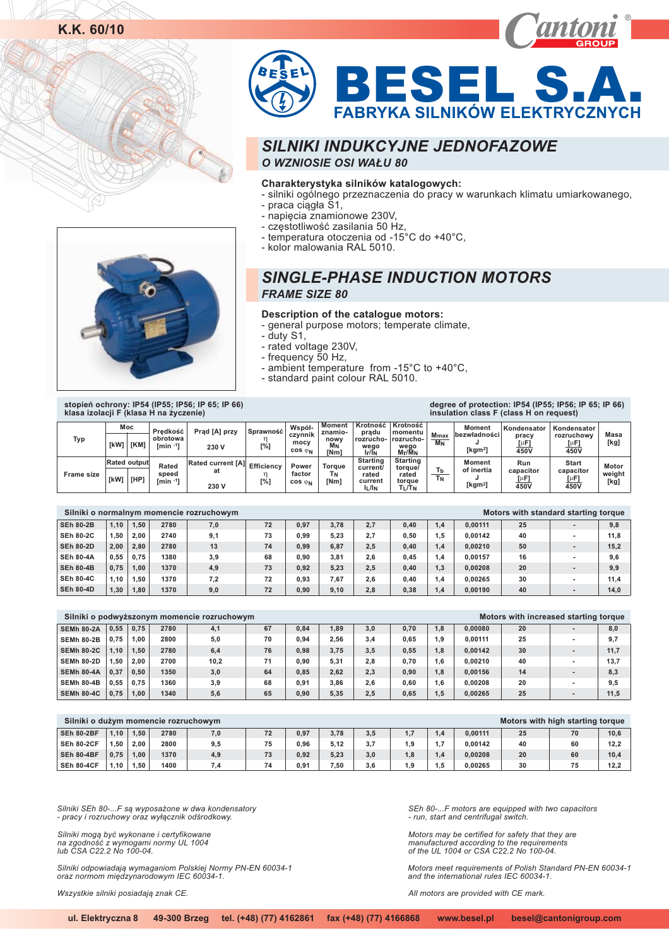



## **Charakterystyka silników katalogowych:**

- silniki ogólnego przeznaczenia do pracy w warunkach klimatu umiarkowanego,
- praca ciągła S1,
- napięcia znamionowe 230V,
- częstotliwość zasilania 50 Hz,
- temperatura otoczenia od -15°C do +40°C,
- kolor malowania RAL 5010.

## *SINGLE-PHASE INDUCTION MOTORS FRAME SIZE 80*

## **Description of the catalogue motors:**

- general purpose motors; temperate climate,

- duty S1,
- rated voltage 230V ,
- frequency 50 Hz,
- ambient temperature from -15°C to +40°C,
- standard paint colour RAL 5010.

**stopieñ ochrony: IP54 (IP55; IP56; IP 65; IP 66) klasa izolacji F (klasa H na ¿yczenie)**

**degree of protection: IP54 (IP55; IP56; IP 65; IP 66) insulation class F (class H on request)**

| Typ               | [kW]                        | Moc<br>[KM] | Predkość<br>obrotowa<br>$fmin -11$ | Prad [A] przy<br>230 V                  | Sprawność<br>[%]         | Współ-<br>czynnik<br>mocy<br>$cos \varphi_N$ | <b>Moment</b><br>znamio-<br>nowy<br>MN<br>[Nm] | Krotność<br>pradu<br>rozrucho-<br>weao<br>$I_{r}/I_{N}$  | Krotność<br>momentu<br>rozrucho-<br>wego<br>$M_{\rm f}/\bar{M}_{\rm N}$ | <b>Mmax</b><br>MN | <b>Moment</b><br><b>bezwładności</b><br>(kgm <sup>21</sup> | Kondensator<br>pracy<br>[µF]<br>450V | Kondensator<br>rozruchowy<br>$[\mu$ F]<br>450V | Masa<br>[kg             |
|-------------------|-----------------------------|-------------|------------------------------------|-----------------------------------------|--------------------------|----------------------------------------------|------------------------------------------------|----------------------------------------------------------|-------------------------------------------------------------------------|-------------------|------------------------------------------------------------|--------------------------------------|------------------------------------------------|-------------------------|
| <b>Frame size</b> | <b>Rated output</b><br>[kW] | [HP'        | Rated<br>speed<br>$[min -1]$       | <b>Rated current [A]</b><br>at<br>230 V | <b>Efficiency</b><br>[%] | Power<br>factor<br>$cos \varphi_N$           | Toraue<br>ΓN<br>[Nm]                           | <b>Starting</b><br>current/<br>rated<br>current<br>IL/IN | <b>Starting</b><br>torgue/<br>rated<br>toraue<br>TL/TN                  | l b<br><b>TN</b>  | <b>Moment</b><br>of inertia<br>[kgm <sup>2</sup>           | Run<br>capacitor<br>ſμF<br>450V      | <b>Start</b><br>capacitor<br>[µF<br>450V       | Motor<br>weight<br>[kg] |

|                  |      |      |      | Silniki o normalnym momencie rozruchowym |    |      |      |     |      |                  |         |    | Motors with standard starting torque |      |
|------------------|------|------|------|------------------------------------------|----|------|------|-----|------|------------------|---------|----|--------------------------------------|------|
| <b>SEh 80-2B</b> | 1.10 | 1.50 | 2780 | 7,0                                      | 72 | 0.97 | 3,78 | 2.7 | 0.40 | $\overline{1.4}$ | 0.00111 | 25 |                                      | 9,8  |
| <b>SEh 80-2C</b> | 1.50 | 2.00 | 2740 | 9,1                                      | 73 | 0.99 | 5,23 | 2.7 | 0.50 | $.5\,$           | 0.00142 | 40 |                                      | 11.8 |
| <b>SEh 80-2D</b> | 2.00 | 2.80 | 2780 | 13                                       | 74 | 0.99 | 6,87 | 2.5 | 0.40 | $\overline{1.4}$ | 0.00210 | 50 |                                      | 15.2 |
| <b>SEh 80-4A</b> | 0.55 | 0.75 | 1380 | 3,9                                      | 68 | 0.90 | 3.81 | 2.6 | 0.45 | .4               | 0.00157 | 16 | ۰                                    | 9.6  |
| <b>SEh 80-4B</b> | 0.75 | 1.00 | 1370 | 4,9                                      | 73 | 0.92 | 5,23 | 2.5 | 0.40 | 1.3              | 0.00208 | 20 |                                      | 9.9  |
| <b>SEh 80-4C</b> | 1.10 | .50  | 1370 | 7,2                                      | 72 | 0.93 | 7.67 | 2.6 | 0.40 | . . 4            | 0.00265 | 30 | ۰                                    | 11.4 |
| <b>SEh 80-4D</b> | 1.30 | 1.80 | 1370 | 9,0                                      | 72 | 0.90 | 9,10 | 2.8 | 0.38 | .4               | 0.00190 | 40 | ۰                                    | 14.0 |

|                   |      |      |      | Silniki o podwyższonym momencie rozruchowym |    |      |      |     |      |     |         | Motors with increased starting torque |                          |      |
|-------------------|------|------|------|---------------------------------------------|----|------|------|-----|------|-----|---------|---------------------------------------|--------------------------|------|
| <b>SEMh 80-2A</b> | 0.55 | 0.75 | 2780 | 4,1                                         | 67 | 0.84 | 1.89 | 3.0 | 0,70 | 1.8 | 0.00080 | 20                                    |                          | 8,0  |
| <b>SEMh 80-2B</b> | 0.75 | 1.00 | 2800 | 5,0                                         | 70 | 0.94 | 2.56 | 3.4 | 0.65 | 1.9 | 0.00111 | 25                                    | $\blacksquare$           | 9,7  |
| <b>SEMh 80-2C</b> | 1.10 | 1.50 | 2780 | 6,4                                         | 76 | 0.98 | 3,75 | 3,5 | 0,55 | 1.8 | 0.00142 | 30                                    |                          | 11,7 |
| <b>SEMh 80-2D</b> | 1.50 | 2.00 | 2700 | 10,2                                        | 71 | 0.90 | 5,31 | 2.8 | 0,70 | 1.6 | 0.00210 | 40                                    | $\sim$                   | 13,7 |
| <b>SEMh 80-4A</b> | 0.37 | 0,50 | 1350 | 3,0                                         | 64 | 0.85 | 2,62 | 2,3 | 0,90 | 1.8 | 0.00156 | 14                                    | $\overline{\phantom{a}}$ | 8,3  |
| <b>SEMh 80-4B</b> | 0.55 | 0.75 | 1360 | 3,9                                         | 68 | 0.91 | 3.86 | 2.6 | 0.60 | 1.6 | 0.00208 | 20                                    |                          | 9.5  |
| <b>SEMh 80-4C</b> | 0.75 | 1.00 | 1340 | 5,6                                         | 65 | 0,90 | 5,35 | 2,5 | 0,65 | 1,5 | 0,00265 | 25                                    |                          | 11,5 |

| Silniki o dużym momencie rozruchowym |      |      |      |     |    |      |      |     |         |        |         |    | Motors with high starting torque |      |
|--------------------------------------|------|------|------|-----|----|------|------|-----|---------|--------|---------|----|----------------------------------|------|
| <b>SEh 80-2BF</b>                    | 1.10 | 1.50 | 2780 | 7,0 | 72 | 0.97 | 3,78 | 3.5 | -7<br>. | 1.4    | 0.00111 | 25 | 70                               | 10,6 |
| <b>SEh 80-2CF</b>                    | 1.50 | 2.00 | 2800 | 9,5 | 75 | 0.96 | 5,12 | 3.7 | 1.9     | 7      | 0.00142 | 40 | 60                               | 12,2 |
| <b>SEh 80-4BF</b>                    | 0.75 | 1.00 | 1370 | 4,9 | 73 | 0.92 | 5,23 | 3.0 | 8.1     | 1.4    | 0.00208 | 20 | 60                               | 10.4 |
| <b>SEh 80-4CF</b>                    | 1.10 | 1.50 | 1400 |     | 74 | 0.91 | 7.50 | 3.6 | 1.9     | $.5\,$ | 0.00265 | 30 | 75                               | 12.2 |

*Silniki SEh 80-...F s¹ wyposa¿one w dwa kondensatory - pracy i rozruchowy oraz wy³¹cznik odœrodkowy.*

Silniki mogą być wykonane i certyfikowane<br>na zgodność z wymogami normy UL 1004 *lub CSA C22.2 No 100-04.*

Silniki odpowiadają wymaganiom Polskiej Normy PN-EN 60034-1<br>oraz normom międzynarodowym IEC 60034-1.

*Wszystkie silniki posiadaj¹ znak CE.*

*SEh 80-...F motors are equipped with two capacitors - run, start and centrifugal switch.*

*Motors may be certified for safety that they are manufactured according to the requirements of the UL 1004 or CSA C22.2 No 100-04.*

*Motors meet requirements of Polish Standard PN-EN 60034-1 and the international rules IEC 60034-1.*

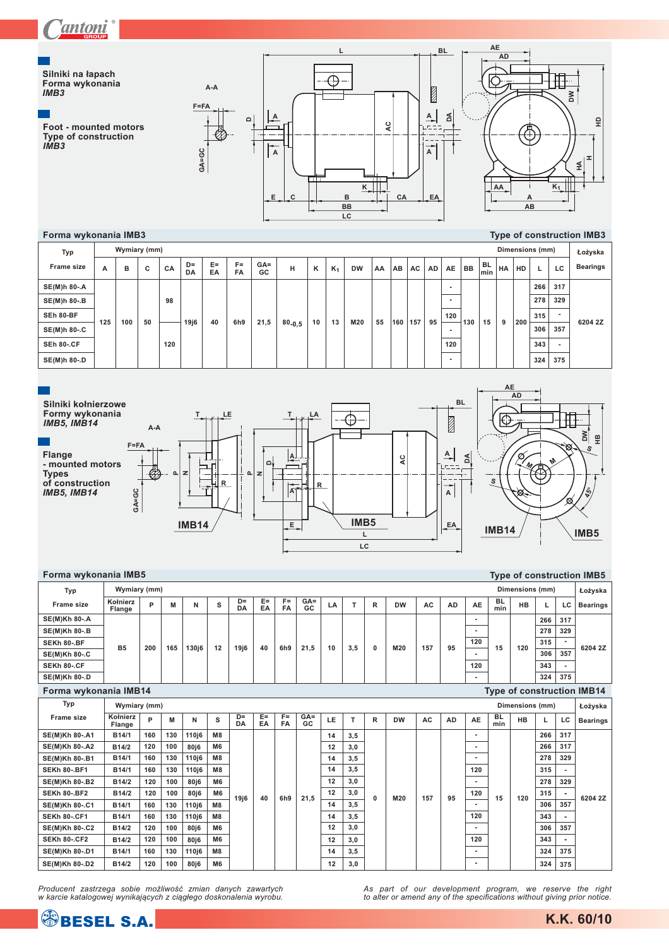Silniki na łapach Forma wykonania<br>
IMB3

Foot - mounted motors<br>Type of construction<br>IMB3

Forma wykonania IMB3



#### Type of construction IMB3

|                   |     |     |              |     |          |             |                 |              |             |    |       |           |    |     |     |           |                          |     |           |    |     |                 | .              |                 |
|-------------------|-----|-----|--------------|-----|----------|-------------|-----------------|--------------|-------------|----|-------|-----------|----|-----|-----|-----------|--------------------------|-----|-----------|----|-----|-----------------|----------------|-----------------|
| Typ               |     |     | Wymiary (mm) |     |          |             |                 |              |             |    |       |           |    |     |     |           |                          |     |           |    |     | Dimensions (mm) |                | Łożyska         |
| <b>Frame size</b> | A   | в   | c            | CA  | D=<br>DA | $E =$<br>EA | $F =$<br>FA     | $GA =$<br>GC | н           | κ  | $K_1$ | <b>DW</b> | AA | AB  | AC  | <b>AD</b> | <b>AE</b>                | BB  | BL<br>min | HA | HD  | L               | LC             | <b>Bearings</b> |
| SE(M)h 80-.A      |     |     |              |     |          |             |                 |              |             |    |       |           |    |     |     |           | -                        |     |           |    |     | 266             | 317            |                 |
| SE(M)h 80-.B      |     |     |              | 98  |          |             |                 |              |             |    |       |           |    |     |     |           | $\overline{\phantom{0}}$ |     |           |    |     | 278             | 329            |                 |
| SEh 80-BF         | 125 | 100 | 50           |     | 19ј6     | 40          | 6h <sub>9</sub> | 21,5         |             | 10 | 13    | M20       | 55 | 160 | 157 | 95        | 120                      | 130 | 15        | 9  | 200 | 315             | $\blacksquare$ | 6204 2Z         |
| SE(M)h 80-.C      |     |     |              |     |          |             |                 |              | $80_{-0.5}$ |    |       |           |    |     |     |           |                          |     |           |    |     | 306             | 357            |                 |
| <b>SEh 80-.CF</b> |     |     |              | 120 |          |             |                 |              |             |    |       |           |    |     |     |           | 120                      |     |           |    |     | 343             | $\blacksquare$ |                 |
| SE(M)h 80-.D      |     |     |              |     |          |             |                 |              |             |    |       |           |    |     |     |           |                          |     |           |    |     | 324             | 375            |                 |



| Forma wykonania IMB5  |                           |     |     |                   |                |             |             |                    |               |    |     |              |           |     |           |                |                  |                 |     |                | <b>Type of construction IMB5</b>  |
|-----------------------|---------------------------|-----|-----|-------------------|----------------|-------------|-------------|--------------------|---------------|----|-----|--------------|-----------|-----|-----------|----------------|------------------|-----------------|-----|----------------|-----------------------------------|
| Typ                   | Wymiary (mm)              |     |     |                   |                |             |             |                    |               |    |     |              |           |     |           |                |                  | Dimensions (mm) |     |                | Łożyska                           |
| <b>Frame size</b>     | Kołnierz<br><b>Flange</b> | P   | M   | N                 | s              | $D =$<br>DA | $E =$<br>EA | $F =$<br><b>FA</b> | $GA =$<br>GC. | LA | T.  | R            | <b>DW</b> | AC  | <b>AD</b> | <b>AE</b>      | <b>BL</b><br>min | <b>HB</b>       | L.  | LC             | <b>Bearings</b>                   |
| <b>SE(M)Kh 80-.A</b>  |                           |     |     |                   |                |             |             |                    |               |    |     |              |           |     |           | ٠              |                  |                 | 266 | 317            |                                   |
| <b>SE(M)Kh 80-.B</b>  |                           |     |     |                   |                |             |             |                    |               |    |     |              |           |     |           |                |                  |                 | 278 | 329            |                                   |
| <b>SEKh 80-.BF</b>    | <b>B5</b>                 | 200 | 165 | 130 <sub>i6</sub> | 12             | 19j6        | 40          | 6h <sub>9</sub>    | 21.5          | 10 | 3,5 | $\mathbf{0}$ | M20       | 157 | 95        | 120            | 15               | 120             | 315 | $\overline{a}$ | 6204 2Z                           |
| <b>SE(M)Kh 80-.C</b>  |                           |     |     |                   |                |             |             |                    |               |    |     |              |           |     |           |                |                  |                 | 306 | 357            |                                   |
| SEKh 80-.CF           |                           |     |     |                   |                |             |             |                    |               |    |     |              |           |     |           | 120            |                  |                 | 343 |                |                                   |
| <b>SE(M)Kh 80-.D</b>  |                           |     |     |                   |                |             |             |                    |               |    |     |              |           |     |           |                |                  |                 | 324 | 375            |                                   |
| Forma wykonania IMB14 |                           |     |     |                   |                |             |             |                    |               |    |     |              |           |     |           |                |                  |                 |     |                | <b>Type of construction IMB14</b> |
| Typ                   | Wymiary (mm)              |     |     |                   |                |             |             |                    |               |    |     |              |           |     |           |                |                  | Dimensions (mm) |     |                | Łożyska                           |
| <b>Frame size</b>     | Kołnierz<br><b>Flange</b> | P   | M   | N                 | s              | $D =$<br>DA | $E =$<br>EA | $F =$<br><b>FA</b> | $GA =$<br>GC  | LE | т   | R            | <b>DW</b> | AC  | <b>AD</b> | AE             | <b>BL</b><br>min | <b>HB</b>       |     | LC             | <b>Bearings</b>                   |
| <b>SE(M)Kh 80-.A1</b> | B14/1                     | 160 | 130 | 110 <sub>i6</sub> | M8             |             |             |                    |               | 14 | 3.5 |              |           |     |           | ٠              |                  |                 | 266 | 317            |                                   |
| <b>SE(M)Kh 80-.A2</b> | B14/2                     | 120 | 100 | 80j6              | M <sub>6</sub> |             |             |                    |               | 12 | 3,0 |              |           |     |           |                |                  |                 | 266 | 317            |                                   |
| SE(M)Kh 80-.B1        | B14/1                     | 160 | 130 | 110i6             | M8             |             |             |                    |               | 14 | 3.5 |              |           |     |           |                |                  |                 | 278 | 329            |                                   |
| <b>SEKh 80-.BF1</b>   | B14/1                     | 160 | 130 | 110 <sub>i6</sub> | M <sub>8</sub> |             |             |                    |               | 14 | 3,5 |              |           |     |           | 120            |                  |                 | 315 |                |                                   |
| <b>SE(M)Kh 80-.B2</b> | B14/2                     | 120 | 100 | 80j6              | M <sub>6</sub> |             |             |                    |               | 12 | 3.0 |              |           |     |           | $\blacksquare$ |                  |                 | 278 | 329            |                                   |
| <b>SEKh 80-.BF2</b>   | B14/2                     | 120 | 100 | 80 <sub>i</sub> 6 | M <sub>6</sub> | 19j6        | 40          | 6h <sub>9</sub>    | 21.5          | 12 | 3,0 | 0            | M20       | 157 | 95        | 120            | 15               | 120             | 315 |                | 6204 2Z                           |
| SE(M)Kh 80-.C1        | B14/1                     | 160 | 130 | 110 <sub>i6</sub> | M8             |             |             |                    |               | 14 | 3,5 |              |           |     |           | $\blacksquare$ |                  |                 | 306 | 357            |                                   |
| <b>SEKh 80-.CF1</b>   | B14/1                     | 160 | 130 | 110 <sub>i6</sub> | M <sub>8</sub> |             |             |                    |               | 14 | 3,5 |              |           |     |           | 120            |                  |                 | 343 |                |                                   |
| <b>SE(M)Kh 80-.C2</b> | B14/2                     | 120 | 100 | 80j6              | M <sub>6</sub> |             |             |                    |               | 12 | 3,0 |              |           |     |           |                |                  |                 | 306 | 357            |                                   |
| <b>SEKh 80-.CF2</b>   | B14/2                     | 120 | 100 | 80j6              | M <sub>6</sub> |             |             |                    |               | 12 | 3,0 |              |           |     |           | 120            |                  |                 | 343 |                |                                   |
| SE(M)Kh 80-.D1        | B14/1                     | 160 | 130 | 110 <sub>i6</sub> | M8             |             |             |                    |               | 14 | 3.5 |              |           |     |           |                |                  |                 | 324 | 375            |                                   |
| <b>SE(M)Kh 80-.D2</b> | B14/2                     | 120 | 100 | 80i6              | M <sub>6</sub> |             |             |                    |               | 12 | 3.0 |              |           |     |           |                |                  |                 | 324 | 375            |                                   |

Producent zastrzega sobie możliwość zmian danych zawartych<br>w karcie katalogowej wynikających z ciągłego doskonalenia wyrobu.

As part of our development program, we reserve the right<br>to alter or amend any of the specifications without giving prior notice.



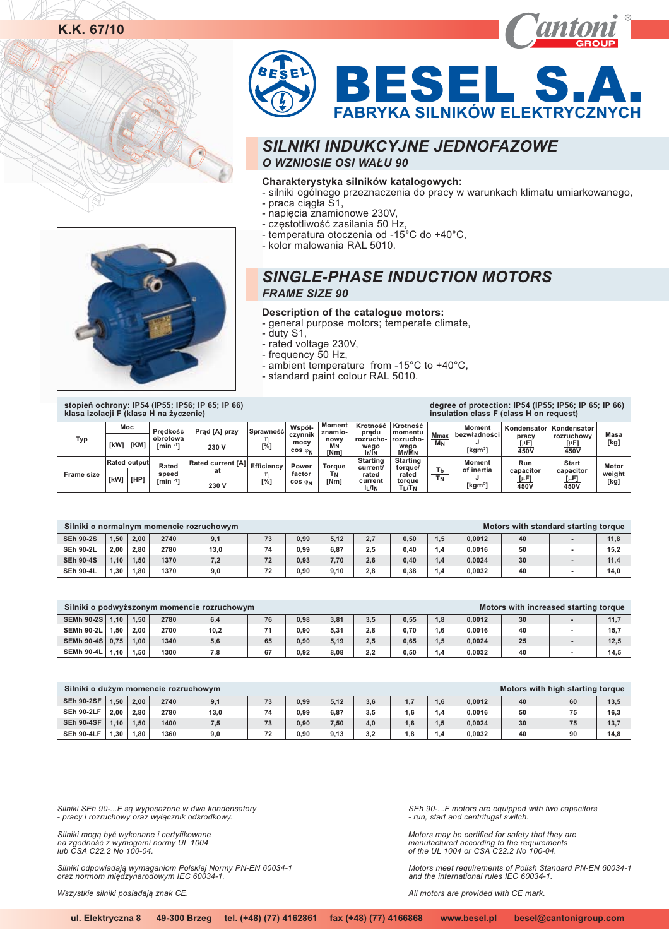

BESEL S.A **FABRYKA SILNIKÓW ELEKTRYCZNYCH**

## *SILNIKI INDUKCYJNE JEDNOFAZOWE O WZNIOSIE OSI WA£U 90*

#### **Charakterystyka silników katalogowych:**

- silniki ogólnego przeznaczenia do pracy w warunkach klimatu umiarkowanego,
	- praca ciągła S1,
	- napięcia znamionowe 230V,
	- częstotliwość zasilania 50 Hz,
	- temperatura otoczenia od -15°C do +40°C,
	- kolor malowania RAL 5010.

# *SINGLE-PHASE INDUCTION MOTORS*

### *FRAME SIZE 90*

- **Description of the catalogue motors:**
- general purpose motors; temperate climate,
- duty S1,
- rated voltage 230V,
- frequency 50 Hz,
- ambient temperature from -15°C to +40°C,
- standard paint colour RAL 5010.



**Typ Frame size [kW] [HP] Rated outpu [kW] Moc [KM] Moment znamionowy MN [Nm] Start capacitor 450V [ F] Kondensator rozruchowy 450V [ F] Motor weight [kg] Masa [kg] Run capacitor 450V [ F] Kondensato pracy 450V [ F] Moment bezw³adnoœci J <sup>2</sup> [kgm ] Moment of inertia J <sup>2</sup> [kgm ] Tb TN Mmax MN Starting torque/ rated torque T /T L N KrotnoϾ momentu rozruchowego M /Mr N Starting current/ rated current I /I L N KrotnoϾ** prądu<br>-rozrucho **wego I /I r N Torque TN [Nm] Power factor**  $\cos \varphi_N$  [ **Wspó³ czynnik mocy cos**  $\varphi_{N}$  [ **Efficiency [%] SprawnoϾ**  $\begin{bmatrix} \eta & \mathbf{0} \\ \mathbf{0} & \mathbf{0} \end{bmatrix}$ **Rated current [A] at 230 V** Prąd [A] przy **230 V Rated** speed<br>[min <sup>-1</sup>] **Predkość obrotowa -1 [min ] stopieñ ochrony: IP54 (IP55; IP56; IP 65; IP 66) klasa izolacji F (klasa H na ¿yczenie) degree of protection: IP54 (IP55; IP56; IP 65; IP 66) insulation class F (class H on request)**

|                  |      |      |      | Silniki o normalnym momencie rozruchowym |    |      |      |     |      |     |        |    | Motors with standard starting torque |      |
|------------------|------|------|------|------------------------------------------|----|------|------|-----|------|-----|--------|----|--------------------------------------|------|
| <b>SEh 90-2S</b> | 1.50 | 2,00 | 2740 | 9,1                                      | 73 | 0.99 | 5,12 | 2,7 | 0,50 | 1.5 | 0,0012 | 40 |                                      | 11,8 |
| <b>SEh 90-2L</b> | 2.00 | 2.80 | 2780 | 13,0                                     | 74 | 0.99 | 6,87 | 2.5 | 0,40 | .4  | 0.0016 | 50 |                                      | 15,2 |
| <b>SEh 90-4S</b> | 1.10 | 1.50 | 1370 | 7,2                                      | 72 | 0.93 | 7,70 | 2,6 | 0,40 | .4  | 0.0024 | 30 |                                      | 11,4 |
| <b>SEh 90-4L</b> | 1.30 | 1.80 | 1370 | 9,0                                      | 72 | 0.90 | 9,10 | 2.8 | 0.38 | . 4 | 0.0032 | 40 |                                      | 14.0 |

|                   |      |      |      | Silniki o podwyższonym momencie rozruchowym |    |      |      |     |      |                  |        | Motors with increased starting torque |      |
|-------------------|------|------|------|---------------------------------------------|----|------|------|-----|------|------------------|--------|---------------------------------------|------|
| <b>SEMh 90-2S</b> | 1.10 | 1.50 | 2780 | 6,4                                         | 76 | 0.98 | 3,81 | 3.5 | 0.55 | $\overline{8}$ . | 0,0012 | 30                                    | 11,7 |
| <b>SEMh 90-2L</b> | 1.50 | 2.00 | 2700 | 10,2                                        | 71 | 0.90 | 5,31 | 2.8 | 0.70 | .6               | 0.0016 | 40                                    | 15.7 |
| <b>SEMh 90-4S</b> | 0.75 | 1.00 | 1340 | 5,6                                         | 65 | 0.90 | 5,19 | 2.5 | 0.65 | 1.5              | 0,0024 | 25                                    | 12,5 |
| <b>SEMh 90-4L</b> | 1.10 | 1.50 | 1300 | 7.8                                         | 67 | 0.92 | 8,08 | 2.2 | 0.50 | $\cdot$          | 0.0032 | 40                                    | 14.5 |

| Silniki o dużym momencie rozruchowym |      |      |      |      |    |      |      |     |     |                 |        | Motors with high starting torque |    |      |
|--------------------------------------|------|------|------|------|----|------|------|-----|-----|-----------------|--------|----------------------------------|----|------|
| <b>SEh 90-2SF</b>                    | 1.50 | 2.00 | 2740 | 9,1  | 73 | 0.99 | 5,12 | 3,6 | 17  | 1.6             | 0,0012 | 40                               | 60 | 13,5 |
| <b>SEh 90-2LF</b>                    | 2.00 | 2.80 | 2780 | 13,0 | 74 | 0.99 | 6,87 | 3.5 | 6.، | $\overline{.4}$ | 0.0016 | 50                               | 75 | 16,3 |
| <b>SEh 90-4SF</b>                    | 1.10 | 1.50 | 1400 | 7,5  | 73 | 0.90 | 7,50 | 4.0 | 1.6 | 1.5             | 0,0024 | 30                               | 75 | 13,7 |
| <b>SEh 90-4LF</b>                    | 1.30 | 1.80 | 1360 | 9,0  | 72 | 0.90 | 9.13 | 3.2 | . 8 | 1.4             | 0.0032 | 40                               | 90 | 14.8 |

*Silniki SEh 90-...F s¹ wyposa¿one w dwa kondensatory - pracy i rozruchowy oraz wy³¹cznik odœrodkowy.*

Silniki mogą być wykonane i certyfikowane<br>na zgodność z wymogami normy UL 1004 *lub CSA C22.2 No 100-04.*

Silniki odpowiadają wymaganiom Polskiej Normy PN-EN 60034-1<br>oraz normom międzynarodowym IEC 60034-1.

Wszystkie silniki posiadają znak CE.

*SEh 90-...F motors are equipped with two capacitors - run, start and centrifugal switch.*

*Motors may be certified for safety that they are manufactured according to the requirements of the UL 1004 or CSA C22.2 No 100-04.*

*Motors meet requirements of Polish Standard PN-EN 60034-1 and the international rules IEC 60034-1.*